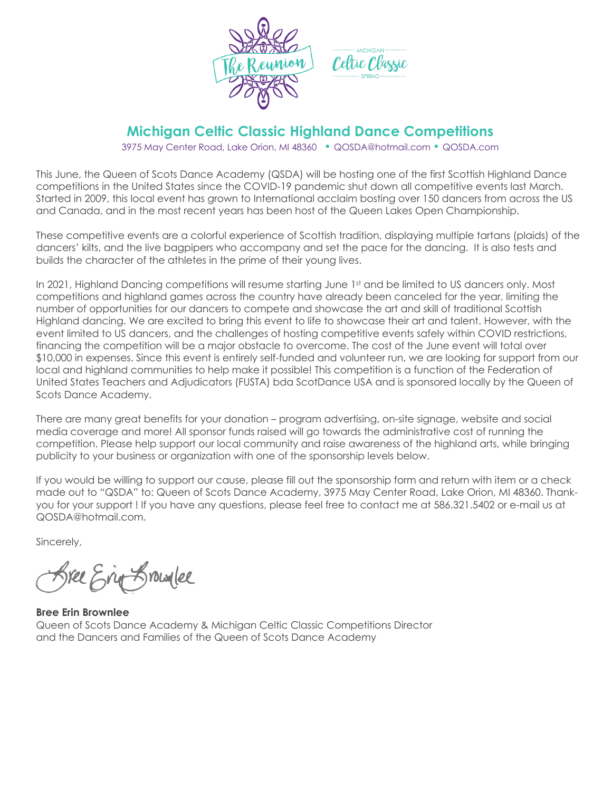

## **Michigan Celtic Classic Highland Dance Competitions**

3975 May Center Road, Lake Orion, MI 48360 • QOSDA@hotmail.com • QOSDA.com

This June, the Queen of Scots Dance Academy (QSDA) will be hosting one of the first Scottish Highland Dance competitions in the United States since the COVID-19 pandemic shut down all competitive events last March. Started in 2009, this local event has grown to International acclaim bosting over 150 dancers from across the US and Canada, and in the most recent years has been host of the Queen Lakes Open Championship.

These competitive events are a colorful experience of Scottish tradition, displaying multiple tartans (plaids) of the dancers' kilts, and the live bagpipers who accompany and set the pace for the dancing. It is also tests and builds the character of the athletes in the prime of their young lives.

In 2021, Highland Dancing competitions will resume starting June 1st and be limited to US dancers only. Most competitions and highland games across the country have already been canceled for the year, limiting the number of opportunities for our dancers to compete and showcase the art and skill of traditional Scottish Highland dancing. We are excited to bring this event to life to showcase their art and talent. However, with the event limited to US dancers, and the challenges of hosting competitive events safely within COVID restrictions, financing the competition will be a major obstacle to overcome. The cost of the June event will total over \$10,000 in expenses. Since this event is entirely self-funded and volunteer run, we are looking for support from our local and highland communities to help make it possible! This competition is a function of the Federation of United States Teachers and Adjudicators (FUSTA) bda ScotDance USA and is sponsored locally by the Queen of Scots Dance Academy.

There are many great benefits for your donation – program advertising, on-site signage, website and social media coverage and more! All sponsor funds raised will go towards the administrative cost of running the competition. Please help support our local community and raise awareness of the highland arts, while bringing publicity to your business or organization with one of the sponsorship levels below.

If you would be willing to support our cause, please fill out the sponsorship form and return with item or a check made out to "QSDA" to: Queen of Scots Dance Academy, 3975 May Center Road, Lake Orion, MI 48360. Thankyou for your support ! If you have any questions, please feel free to contact me at 586.321.5402 or e-mail us at QOSDA@hotmail.com.

Sincerely,

Sree Erin Browlee

**Bree Erin Brownlee** Queen of Scots Dance Academy & Michigan Celtic Classic Competitions Director and the Dancers and Families of the Queen of Scots Dance Academy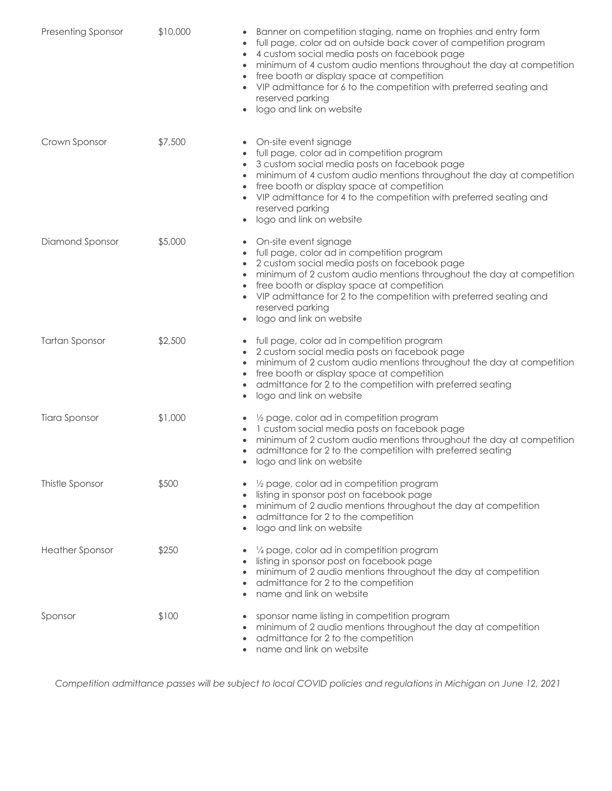| <b>Presenting Sponsor</b> | \$10,000 | Banner on competition staging, name on trophies and entry form<br>$\bullet$<br>full page, color ad on outside back cover of competition program<br>٠<br>4 custom social media posts on facebook page<br>٠<br>minimum of 4 custom audio mentions throughout the day at competition<br>$\bullet$<br>free booth or display space at competition<br>VIP admittance for 6 to the competition with preferred seating and<br>reserved parking<br>logo and link on website<br>$\bullet$ |
|---------------------------|----------|---------------------------------------------------------------------------------------------------------------------------------------------------------------------------------------------------------------------------------------------------------------------------------------------------------------------------------------------------------------------------------------------------------------------------------------------------------------------------------|
| Crown Sponsor             | \$7,500  | On-site event signage<br>$\bullet$<br>full page, color ad in competition program<br>$\bullet$<br>3 custom social media posts on facebook page<br>$\bullet$<br>minimum of 4 custom audio mentions throughout the day at competition<br>$\bullet$<br>free booth or display space at competition<br>VIP admittance for 4 to the competition with preferred seating and<br>reserved parking<br>logo and link on website<br>۰                                                        |
| Diamond Sponsor           | \$5,000  | On-site event signage<br>$\bullet$<br>full page, color ad in competition program<br>$\bullet$<br>2 custom social media posts on facebook page<br>minimum of 2 custom audio mentions throughout the day at competition<br>free booth or display space at competition<br>$\bullet$<br>VIP admittance for 2 to the competition with preferred seating and<br>$\bullet$<br>reserved parking<br>logo and link on website<br>۰                                                        |
| <b>Tartan Sponsor</b>     | \$2,500  | full page, color ad in competition program<br>$\bullet$<br>2 custom social media posts on facebook page<br>minimum of 2 custom audio mentions throughout the day at competition<br>$\bullet$<br>free booth or display space at competition<br>$\bullet$<br>admittance for 2 to the competition with preferred seating<br>٠<br>logo and link on website<br>۰                                                                                                                     |
| <b>Tiara Sponsor</b>      | \$1,000  | 1/2 page, color ad in competition program<br>۰<br>1 custom social media posts on facebook page<br>$\bullet$<br>minimum of 2 custom audio mentions throughout the day at competition<br>$\bullet$<br>admittance for 2 to the competition with preferred seating<br>٠<br>logo and link on website<br>$\bullet$                                                                                                                                                                    |
| Thistle Sponsor           | \$500    | 1/2 page, color ad in competition program<br>listing in sponsor post on facebook page<br>$\bullet$<br>minimum of 2 audio mentions throughout the day at competition<br>$\bullet$<br>admittance for 2 to the competition<br>٠<br>logo and link on website<br>۰                                                                                                                                                                                                                   |
| <b>Heather Sponsor</b>    | \$250    | 1/4 page, color ad in competition program<br>$\bullet$<br>listing in sponsor post on facebook page<br>minimum of 2 audio mentions throughout the day at competition<br>$\bullet$<br>admittance for 2 to the competition<br>$\bullet$<br>name and link on website<br>$\bullet$                                                                                                                                                                                                   |
| Sponsor                   | \$100    | sponsor name listing in competition program<br>minimum of 2 audio mentions throughout the day at competition<br>admittance for 2 to the competition<br>name and link on website                                                                                                                                                                                                                                                                                                 |

*Competition admittance passes will be subject to local COVID policies and regulations in Michigan on June 12, 2021*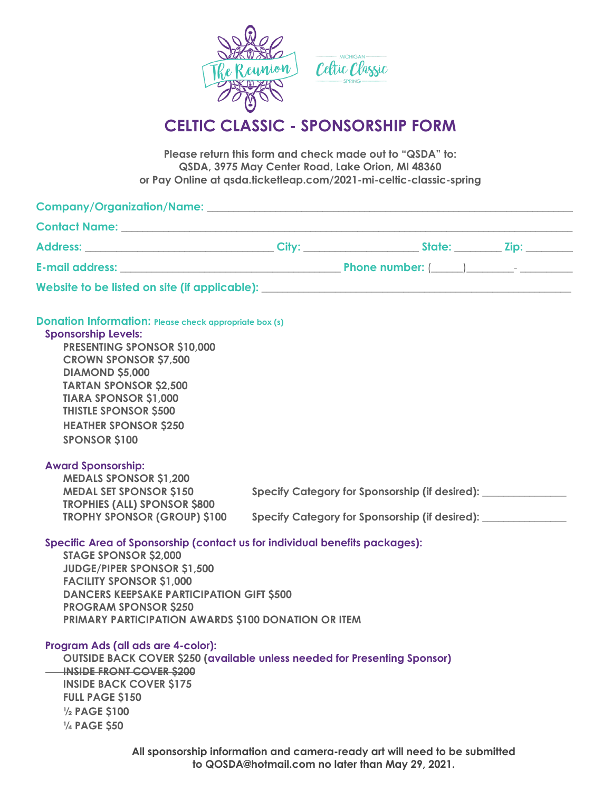

## **CELTIC CLASSIC - SPONSORSHIP FORM**

**Please return this form and check made out to "QSDA" to: QSDA, 3975 May Center Road, Lake Orion, MI 48360 or Pay Online at qsda.ticketleap.com/2021-mi-celtic-classic-spring**

| Website to be listed on site (if applicable): ___________________________________                                                                                                                                                                                                                                                                    |                                                                                                                                                   |  |
|------------------------------------------------------------------------------------------------------------------------------------------------------------------------------------------------------------------------------------------------------------------------------------------------------------------------------------------------------|---------------------------------------------------------------------------------------------------------------------------------------------------|--|
| <b>Donation Information: Please check appropriate box (s)</b><br><b>Sponsorship Levels:</b><br><b>PRESENTING SPONSOR \$10,000</b><br><b>CROWN SPONSOR \$7,500</b><br><b>DIAMOND \$5,000</b><br><b>TARTAN SPONSOR \$2,500</b><br><b>TIARA SPONSOR \$1,000</b><br><b>THISTLE SPONSOR \$500</b><br><b>HEATHER SPONSOR \$250</b><br><b>SPONSOR \$100</b> |                                                                                                                                                   |  |
| <b>Award Sponsorship:</b><br><b>MEDALS SPONSOR \$1,200</b><br><b>MEDAL SET SPONSOR \$150</b><br><b>TROPHIES (ALL) SPONSOR \$800</b><br><b>TROPHY SPONSOR (GROUP) \$100</b><br>Specific Area of Sponsorship (contact us for individual benefits packages):<br><b>STAGE SPONSOR \$2,000</b>                                                            | Specify Category for Sponsorship (if desired): ______________<br>Specify Category for Sponsorship (if desired): _________________________________ |  |
| <b>JUDGE/PIPER SPONSOR \$1,500</b><br><b>FACILITY SPONSOR \$1,000</b><br><b>DANCERS KEEPSAKE PARTICIPATION GIFT \$500</b><br><b>PROGRAM SPONSOR \$250</b><br><b>PRIMARY PARTICIPATION AWARDS \$100 DONATION OR ITEM</b>                                                                                                                              |                                                                                                                                                   |  |
| Program Ads (all ads are 4-color):<br><b>OUTSIDE BACK COVER \$250 (available unless needed for Presenting Sponsor)</b><br><b>INSIDE FRONT COVER \$200</b><br><b>INSIDE BACK COVER \$175</b><br><b>FULL PAGE \$150</b><br>1/2 PAGE \$100<br>1/4 PAGE \$50                                                                                             |                                                                                                                                                   |  |
|                                                                                                                                                                                                                                                                                                                                                      | All sponsorship information and camera-ready art will need to be submitted                                                                        |  |

**to QOSDA@hotmail.com no later than May 29, 2021.**